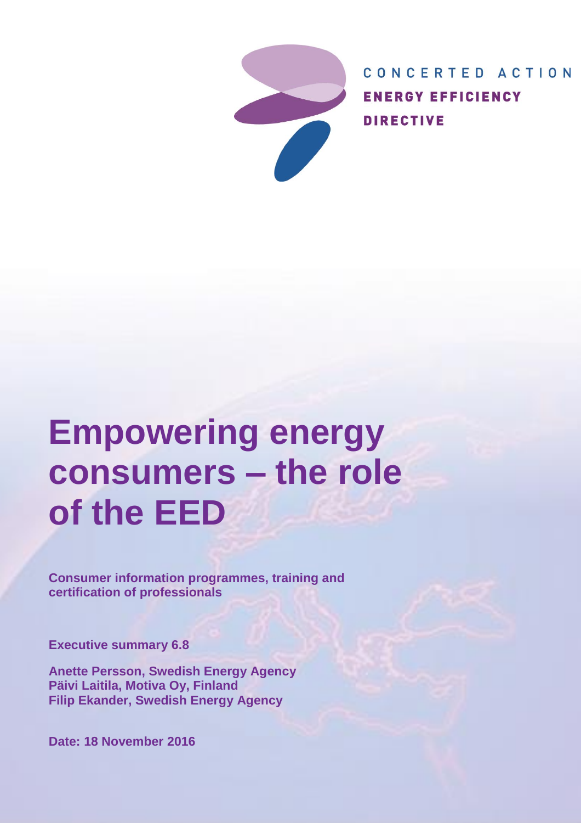

CONCERTED ACTION **ENERGY EFFICIENCY DIRECTIVE** 

# **Empowering energy consumers – the role of the EED**

**Consumer information programmes, training and certification of professionals**

**Executive summary 6.8**

**Anette Persson, Swedish Energy Agency Päivi Laitila, Motiva Oy, Finland Filip Ekander, Swedish Energy Agency**

**Date: 18 November 2016**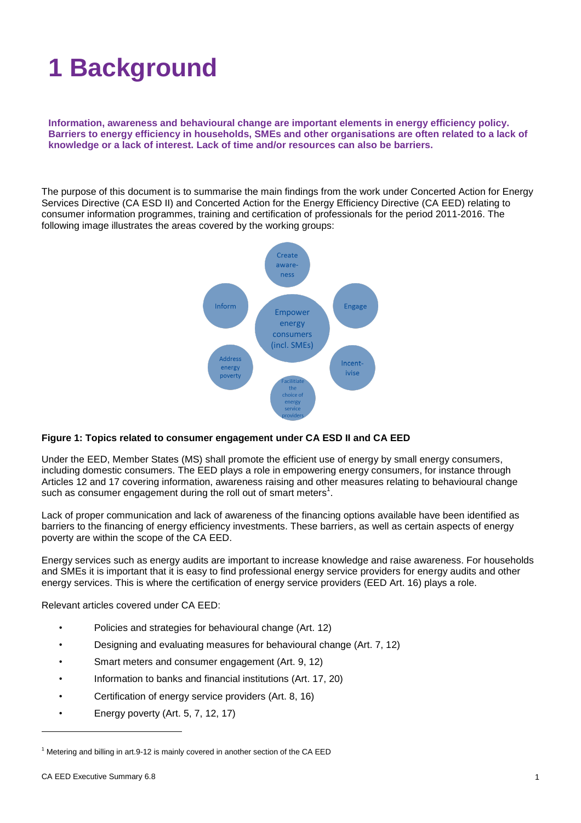## **1 Background**

**Information, awareness and behavioural change are important elements in energy efficiency policy. Barriers to energy efficiency in households, SMEs and other organisations are often related to a lack of knowledge or a lack of interest. Lack of time and/or resources can also be barriers.** 

The purpose of this document is to summarise the main findings from the work under Concerted Action for Energy Services Directive (CA ESD II) and Concerted Action for the Energy Efficiency Directive (CA EED) relating to consumer information programmes, training and certification of professionals for the period 2011-2016. The following image illustrates the areas covered by the working groups:



### **Figure 1: Topics related to consumer engagement under CA ESD II and CA EED**

Under the EED, Member States (MS) shall promote the efficient use of energy by small energy consumers, including domestic consumers. The EED plays a role in empowering energy consumers, for instance through Articles 12 and 17 covering information, awareness raising and other measures relating to behavioural change such as consumer engagement during the roll out of smart meters<sup>1</sup>.

Lack of proper communication and lack of awareness of the financing options available have been identified as barriers to the financing of energy efficiency investments. These barriers, as well as certain aspects of energy poverty are within the scope of the CA EED.

Energy services such as energy audits are important to increase knowledge and raise awareness. For households and SMEs it is important that it is easy to find professional energy service providers for energy audits and other energy services. This is where the certification of energy service providers (EED Art. 16) plays a role.

Relevant articles covered under CA EED:

- Policies and strategies for behavioural change (Art. 12)
- Designing and evaluating measures for behavioural change (Art. 7, 12)
- Smart meters and consumer engagement (Art. 9, 12)
- Information to banks and financial institutions (Art. 17, 20)
- Certification of energy service providers (Art. 8, 16)
- Energy poverty (Art. 5, 7, 12, 17)

 $\overline{a}$ 

 $1$  Metering and billing in art. 9-12 is mainly covered in another section of the CA EED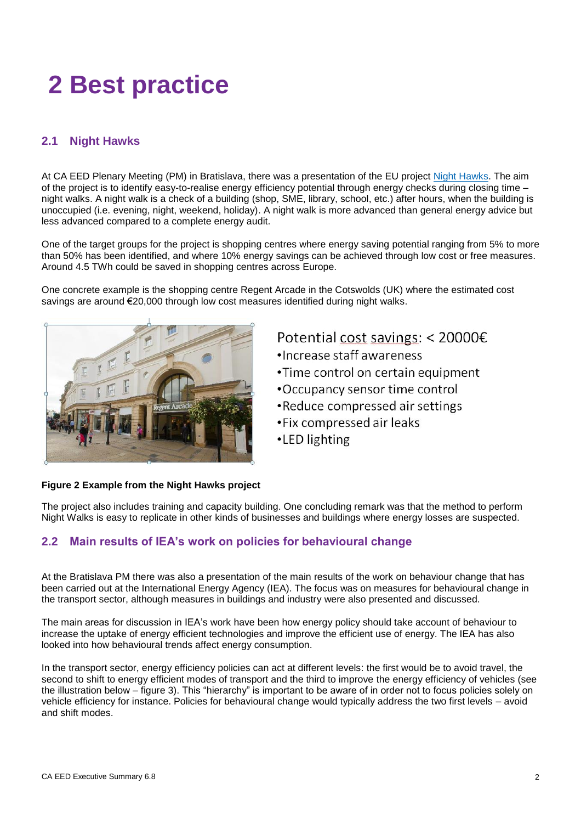### **2 Best practice**

### **2.1 Night Hawks**

At CA EED Plenary Meeting (PM) in Bratislava, there was a presentation of the EU project [Night Hawks.](http://www.night-hawks.eu/) The aim of the project is to identify easy-to-realise energy efficiency potential through energy checks during closing time – night walks. A night walk is a check of a building (shop, SME, library, school, etc.) after hours, when the building is unoccupied (i.e. evening, night, weekend, holiday). A night walk is more advanced than general energy advice but less advanced compared to a complete energy audit.

One of the target groups for the project is shopping centres where energy saving potential ranging from 5% to more than 50% has been identified, and where 10% energy savings can be achieved through low cost or free measures. Around 4.5 TWh could be saved in shopping centres across Europe.

One concrete example is the shopping centre Regent Arcade in the Cotswolds (UK) where the estimated cost savings are around €20,000 through low cost measures identified during night walks.



Potential cost savings:  $<$  20000€

- •Increase staff awareness
- •Time control on certain equipment
- •Occupancy sensor time control
- •Reduce compressed air settings
- •Fix compressed air leaks
- •LED lighting

### **Figure 2 Example from the Night Hawks project**

The project also includes training and capacity building. One concluding remark was that the method to perform Night Walks is easy to replicate in other kinds of businesses and buildings where energy losses are suspected.

### **2.2 Main results of IEA's work on policies for behavioural change**

At the Bratislava PM there was also a presentation of the main results of the work on behaviour change that has been carried out at the International Energy Agency (IEA). The focus was on measures for behavioural change in the transport sector, although measures in buildings and industry were also presented and discussed.

The main areas for discussion in IEA's work have been how energy policy should take account of behaviour to increase the uptake of energy efficient technologies and improve the efficient use of energy. The IEA has also looked into how behavioural trends affect energy consumption.

In the transport sector, energy efficiency policies can act at different levels: the first would be to avoid travel, the second to shift to energy efficient modes of transport and the third to improve the energy efficiency of vehicles (see the illustration below – figure 3). This "hierarchy" is important to be aware of in order not to focus policies solely on vehicle efficiency for instance. Policies for behavioural change would typically address the two first levels – avoid and shift modes.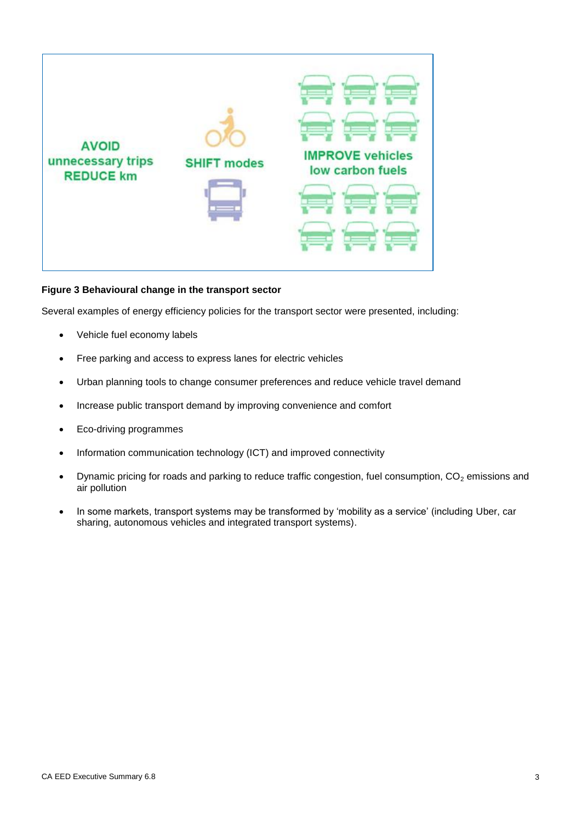

### **Figure 3 Behavioural change in the transport sector**

Several examples of energy efficiency policies for the transport sector were presented, including:

- Vehicle fuel economy labels
- Free parking and access to express lanes for electric vehicles
- Urban planning tools to change consumer preferences and reduce vehicle travel demand
- Increase public transport demand by improving convenience and comfort
- Eco-driving programmes
- Information communication technology (ICT) and improved connectivity
- Dynamic pricing for roads and parking to reduce traffic congestion, fuel consumption,  $CO<sub>2</sub>$  emissions and air pollution
- In some markets, transport systems may be transformed by 'mobility as a service' (including Uber, car sharing, autonomous vehicles and integrated transport systems).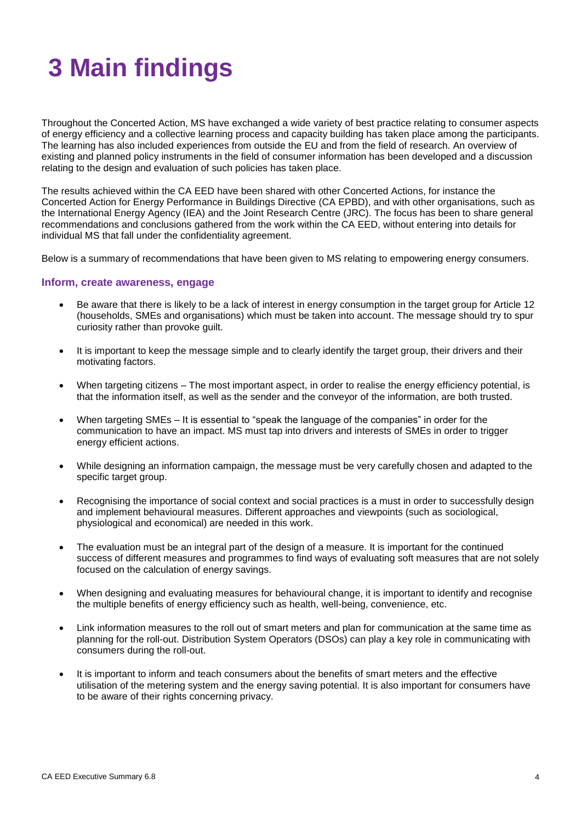# **3 Main findings**

Throughout the Concerted Action, MS have exchanged a wide variety of best practice relating to consumer aspects of energy efficiency and a collective learning process and capacity building has taken place among the participants. The learning has also included experiences from outside the EU and from the field of research. An overview of existing and planned policy instruments in the field of consumer information has been developed and a discussion relating to the design and evaluation of such policies has taken place.

The results achieved within the CA EED have been shared with other Concerted Actions, for instance the Concerted Action for Energy Performance in Buildings Directive (CA EPBD), and with other organisations, such as the International Energy Agency (IEA) and the Joint Research Centre (JRC). The focus has been to share general recommendations and conclusions gathered from the work within the CA EED, without entering into details for individual MS that fall under the confidentiality agreement.

Below is a summary of recommendations that have been given to MS relating to empowering energy consumers.

#### **Inform, create awareness, engage**

- Be aware that there is likely to be a lack of interest in energy consumption in the target group for Article 12 (households, SMEs and organisations) which must be taken into account. The message should try to spur curiosity rather than provoke guilt.
- It is important to keep the message simple and to clearly identify the target group, their drivers and their motivating factors.
- When targeting citizens The most important aspect, in order to realise the energy efficiency potential, is that the information itself, as well as the sender and the conveyor of the information, are both trusted.
- When targeting SMEs It is essential to "speak the language of the companies" in order for the communication to have an impact. MS must tap into drivers and interests of SMEs in order to trigger energy efficient actions.
- While designing an information campaign, the message must be very carefully chosen and adapted to the specific target group.
- Recognising the importance of social context and social practices is a must in order to successfully design and implement behavioural measures. Different approaches and viewpoints (such as sociological, physiological and economical) are needed in this work.
- The evaluation must be an integral part of the design of a measure. It is important for the continued success of different measures and programmes to find ways of evaluating soft measures that are not solely focused on the calculation of energy savings.
- When designing and evaluating measures for behavioural change, it is important to identify and recognise the multiple benefits of energy efficiency such as health, well-being, convenience, etc.
- Link information measures to the roll out of smart meters and plan for communication at the same time as planning for the roll-out. Distribution System Operators (DSOs) can play a key role in communicating with consumers during the roll-out.
- It is important to inform and teach consumers about the benefits of smart meters and the effective utilisation of the metering system and the energy saving potential. It is also important for consumers have to be aware of their rights concerning privacy.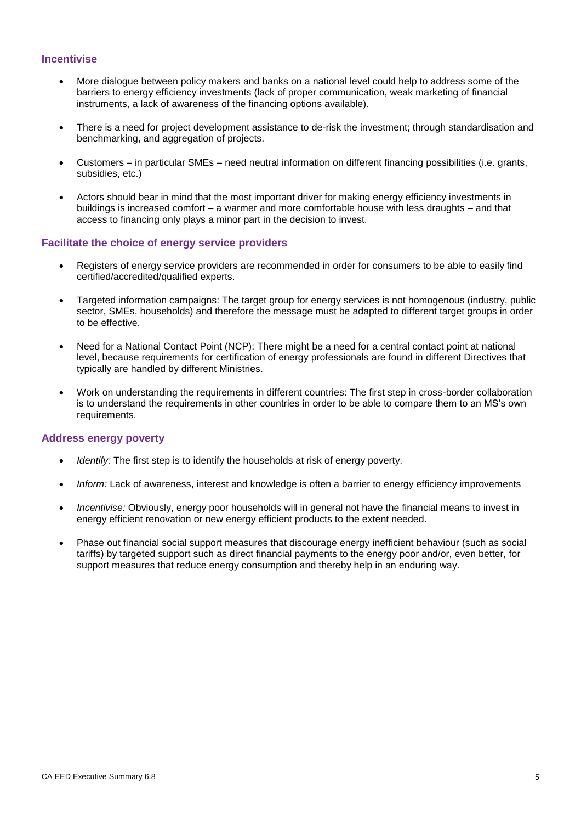### **Incentivise**

- More dialogue between policy makers and banks on a national level could help to address some of the barriers to energy efficiency investments (lack of proper communication, weak marketing of financial instruments, a lack of awareness of the financing options available).
- There is a need for project development assistance to de-risk the investment; through standardisation and benchmarking, and aggregation of projects.
- Customers in particular SMEs need neutral information on different financing possibilities (i.e. grants, subsidies, etc.)
- Actors should bear in mind that the most important driver for making energy efficiency investments in buildings is increased comfort – a warmer and more comfortable house with less draughts – and that access to financing only plays a minor part in the decision to invest.

#### **Facilitate the choice of energy service providers**

- Registers of energy service providers are recommended in order for consumers to be able to easily find certified/accredited/qualified experts.
- Targeted information campaigns: The target group for energy services is not homogenous (industry, public sector, SMEs, households) and therefore the message must be adapted to different target groups in order to be effective.
- Need for a National Contact Point (NCP): There might be a need for a central contact point at national level, because requirements for certification of energy professionals are found in different Directives that typically are handled by different Ministries.
- Work on understanding the requirements in different countries: The first step in cross-border collaboration is to understand the requirements in other countries in order to be able to compare them to an MS's own requirements.

#### **Address energy poverty**

- *Identify:* The first step is to identify the households at risk of energy poverty.
- *Inform:* Lack of awareness, interest and knowledge is often a barrier to energy efficiency improvements
- *Incentivise:* Obviously, energy poor households will in general not have the financial means to invest in energy efficient renovation or new energy efficient products to the extent needed.
- Phase out financial social support measures that discourage energy inefficient behaviour (such as social tariffs) by targeted support such as direct financial payments to the energy poor and/or, even better, for support measures that reduce energy consumption and thereby help in an enduring way.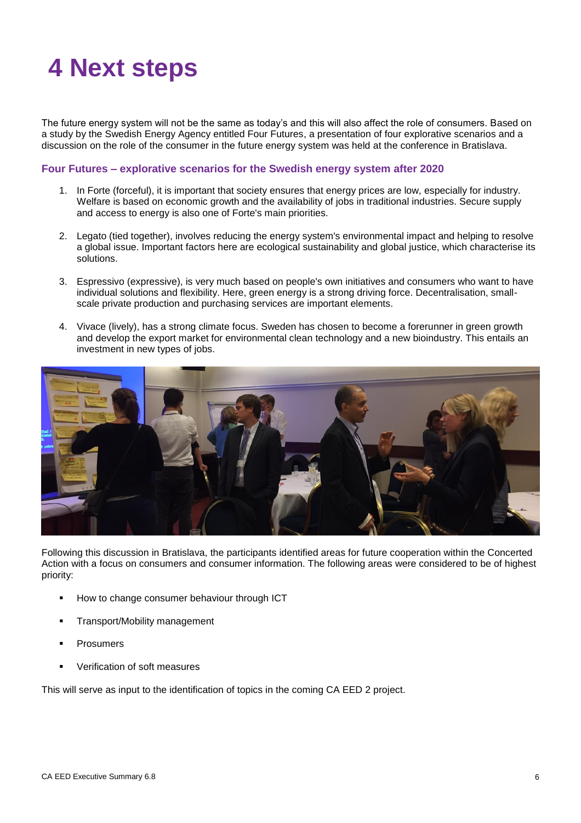### **4 Next steps**

The future energy system will not be the same as today's and this will also affect the role of consumers. Based on a study by the Swedish Energy Agency entitled Four Futures, a presentation of four explorative scenarios and a discussion on the role of the consumer in the future energy system was held at the conference in Bratislava.

### **Four Futures – explorative scenarios for the Swedish energy system after 2020**

- 1. In Forte (forceful), it is important that society ensures that energy prices are low, especially for industry. Welfare is based on economic growth and the availability of jobs in traditional industries. Secure supply and access to energy is also one of Forte's main priorities.
- 2. Legato (tied together), involves reducing the energy system's environmental impact and helping to resolve a global issue. Important factors here are ecological sustainability and global justice, which characterise its solutions.
- 3. Espressivo (expressive), is very much based on people's own initiatives and consumers who want to have individual solutions and flexibility. Here, green energy is a strong driving force. Decentralisation, smallscale private production and purchasing services are important elements.
- 4. Vivace (lively), has a strong climate focus. Sweden has chosen to become a forerunner in green growth and develop the export market for environmental clean technology and a new bioindustry. This entails an investment in new types of jobs.



Following this discussion in Bratislava, the participants identified areas for future cooperation within the Concerted Action with a focus on consumers and consumer information. The following areas were considered to be of highest priority:

- How to change consumer behaviour through ICT
- Transport/Mobility management
- Prosumers
- Verification of soft measures

This will serve as input to the identification of topics in the coming CA EED 2 project.